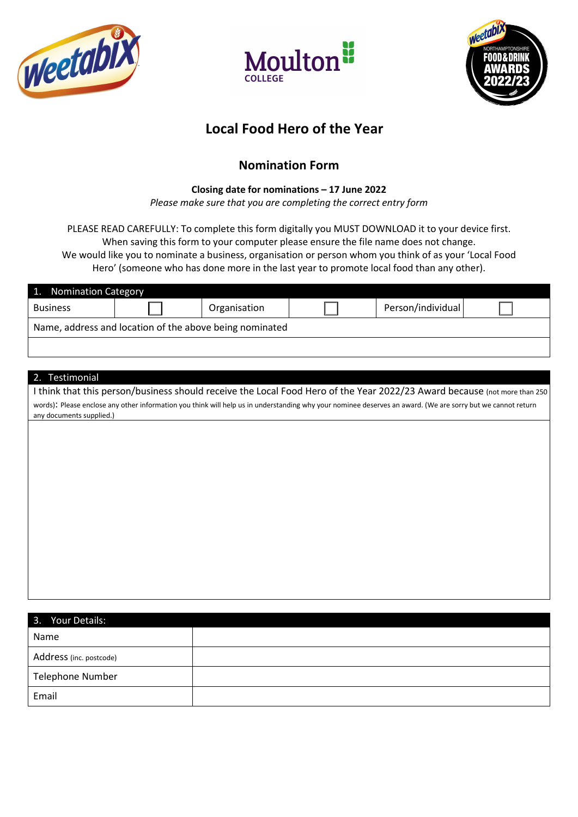





# **Local Food Hero of the Year**

## **Nomination Form**

### **Closing date for nominations – 17 June 2022**

*Please make sure that you are completing the correct entry form*

PLEASE READ CAREFULLY: To complete this form digitally you MUST DOWNLOAD it to your device first. When saving this form to your computer please ensure the file name does not change.

We would like you to nominate a business, organisation or person whom you think of as your 'Local Food Hero' (someone who has done more in the last year to promote local food than any other).

| 1. Nomination Category                                  |  |              |  |                   |  |  |
|---------------------------------------------------------|--|--------------|--|-------------------|--|--|
| <b>Business</b>                                         |  | Organisation |  | Person/individual |  |  |
| Name, address and location of the above being nominated |  |              |  |                   |  |  |
|                                                         |  |              |  |                   |  |  |

#### 2. Testimonial

I think that this person/business should receive the Local Food Hero of the Year 2022/23 Award because (not more than 250 words): Please enclose any other information you think will help us in understanding why your nominee deserves an award. (We are sorry but we cannot return any documents supplied.)

| 3. Your Details:        |  |
|-------------------------|--|
| Name                    |  |
| Address (inc. postcode) |  |
| <b>Telephone Number</b> |  |
| Email                   |  |